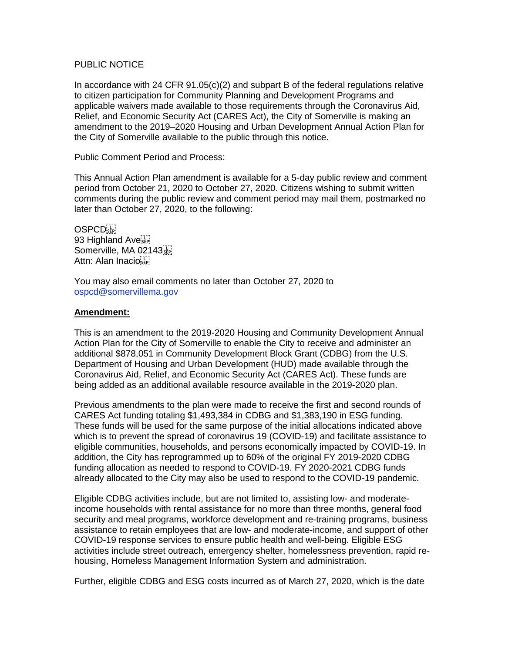## PUBLIC NOTICE

In accordance with 24 CFR  $91.05(c)(2)$  and subpart B of the federal regulations relative to citizen participation for Community Planning and Development Programs and applicable waivers made available to those requirements through the Coronavirus Aid, Relief, and Economic Security Act (CARES Act), the City of Somerville is making an amendment to the 2019–2020 Housing and Urban Development Annual Action Plan for the City of Somerville available to the public through this notice.

Public Comment Period and Process:

This Annual Action Plan amendment is available for a 5-day public review and comment period from October 21, 2020 to October 27, 2020. Citizens wishing to submit written comments during the public review and comment period may mail them, postmarked no later than October 27, 2020, to the following:

**OSPCD** 93 Highland Ave Somerville, MA 02143 Attn: Alan Inacioste

You may also email comments no later than October 27, 2020 to ospcd@somervillema.gov

## **Amendment:**

This is an amendment to the 2019-2020 Housing and Community Development Annual Action Plan for the City of Somerville to enable the City to receive and administer an additional \$878,051 in Community Development Block Grant (CDBG) from the U.S. Department of Housing and Urban Development (HUD) made available through the Coronavirus Aid, Relief, and Economic Security Act (CARES Act). These funds are being added as an additional available resource available in the 2019-2020 plan.

Previous amendments to the plan were made to receive the first and second rounds of CARES Act funding totaling \$1,493,384 in CDBG and \$1,383,190 in ESG funding. These funds will be used for the same purpose of the initial allocations indicated above which is to prevent the spread of coronavirus 19 (COVID-19) and facilitate assistance to eligible communities, households, and persons economically impacted by COVID-19. In addition, the City has reprogrammed up to 60% of the original FY 2019-2020 CDBG funding allocation as needed to respond to COVID-19. FY 2020-2021 CDBG funds already allocated to the City may also be used to respond to the COVID-19 pandemic.

Eligible CDBG activities include, but are not limited to, assisting low- and moderateincome households with rental assistance for no more than three months, general food security and meal programs, workforce development and re-training programs, business assistance to retain employees that are low- and moderate-income, and support of other COVID-19 response services to ensure public health and well-being. Eligible ESG activities include street outreach, emergency shelter, homelessness prevention, rapid rehousing, Homeless Management Information System and administration.

Further, eligible CDBG and ESG costs incurred as of March 27, 2020, which is the date